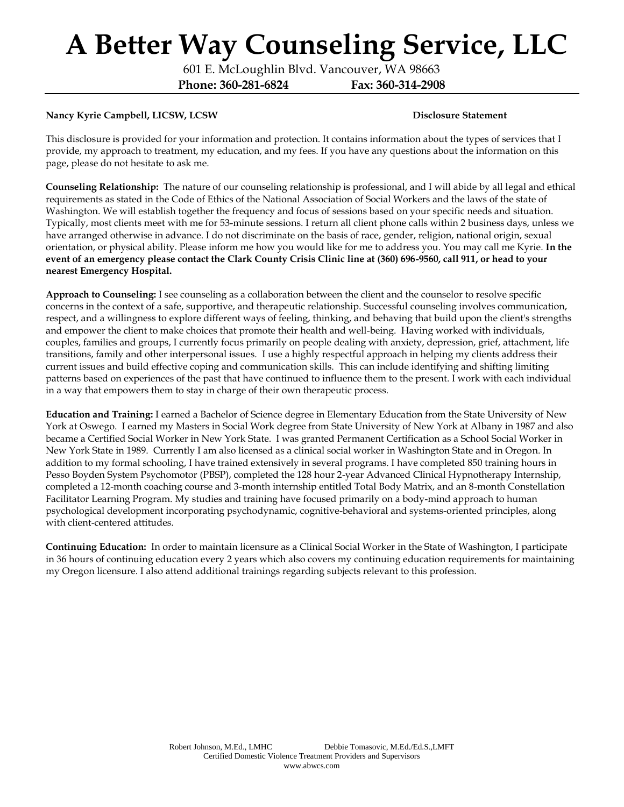601 E. McLoughlin Blvd. Vancouver, WA 98663 **Phone: 360-281-6824 Fax: 360-314-2908**

### Nancy Kyrie Campbell, LICSW, LCSW **Disclosure Statement Disclosure Statement**

This disclosure is provided for your information and protection. It contains information about the types of services that I provide, my approach to treatment, my education, and my fees. If you have any questions about the information on this page, please do not hesitate to ask me.

**Counseling Relationship:** The nature of our counseling relationship is professional, and I will abide by all legal and ethical requirements as stated in the Code of Ethics of the National Association of Social Workers and the laws of the state of Washington. We will establish together the frequency and focus of sessions based on your specific needs and situation. Typically, most clients meet with me for 53-minute sessions. I return all client phone calls within 2 business days, unless we have arranged otherwise in advance. I do not discriminate on the basis of race, gender, religion, national origin, sexual orientation, or physical ability. Please inform me how you would like for me to address you. You may call me Kyrie. **In the event of an emergency please contact the Clark County Crisis Clinic line at (360) 696-9560, call 911, or head to your nearest Emergency Hospital.**

**Approach to Counseling:** I see counseling as a collaboration between the client and the counselor to resolve specific concerns in the context of a safe, supportive, and therapeutic relationship. Successful counseling involves communication, respect, and a willingness to explore different ways of feeling, thinking, and behaving that build upon the client's strengths and empower the client to make choices that promote their health and well-being. Having worked with individuals, couples, families and groups, I currently focus primarily on people dealing with anxiety, depression, grief, attachment, life transitions, family and other interpersonal issues. I use a highly respectful approach in helping my clients address their current issues and build effective coping and communication skills. This can include identifying and shifting limiting patterns based on experiences of the past that have continued to influence them to the present. I work with each individual in a way that empowers them to stay in charge of their own therapeutic process.

**Education and Training:** I earned a Bachelor of Science degree in Elementary Education from the State University of New York at Oswego. I earned my Masters in Social Work degree from State University of New York at Albany in 1987 and also became a Certified Social Worker in New York State. I was granted Permanent Certification as a School Social Worker in New York State in 1989. Currently I am also licensed as a clinical social worker in Washington State and in Oregon. In addition to my formal schooling, I have trained extensively in several programs. I have completed 850 training hours in Pesso Boyden System Psychomotor (PBSP), completed the 128 hour 2-year Advanced Clinical Hypnotherapy Internship, completed a 12-month coaching course and 3-month internship entitled Total Body Matrix, and an 8-month Constellation Facilitator Learning Program. My studies and training have focused primarily on a body-mind approach to human psychological development incorporating psychodynamic, cognitive-behavioral and systems-oriented principles, along with client-centered attitudes.

**Continuing Education:** In order to maintain licensure as a Clinical Social Worker in the State of Washington, I participate in 36 hours of continuing education every 2 years which also covers my continuing education requirements for maintaining my Oregon licensure. I also attend additional trainings regarding subjects relevant to this profession.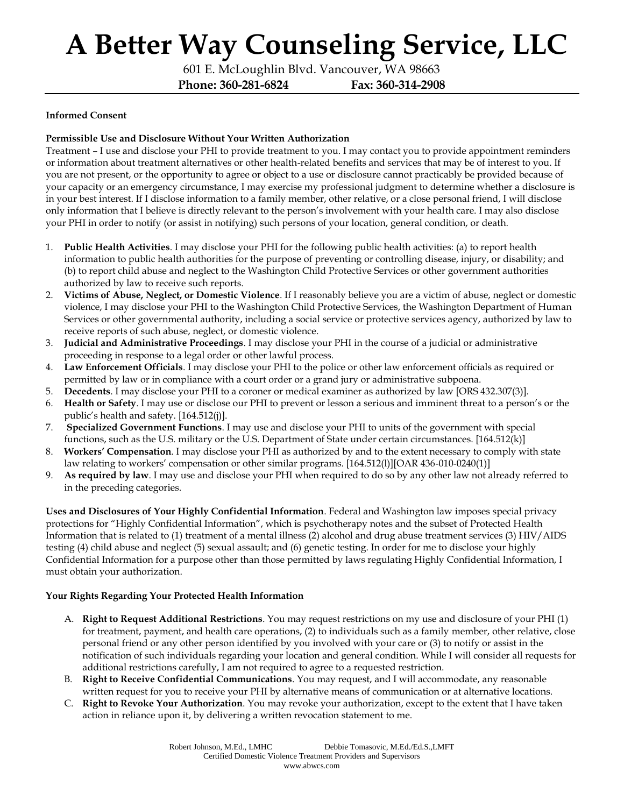601 E. McLoughlin Blvd. Vancouver, WA 98663 **Phone: 360-281-6824 Fax: 360-314-2908**

### **Informed Consent**

### **Permissible Use and Disclosure Without Your Written Authorization**

Treatment – I use and disclose your PHI to provide treatment to you. I may contact you to provide appointment reminders or information about treatment alternatives or other health-related benefits and services that may be of interest to you. If you are not present, or the opportunity to agree or object to a use or disclosure cannot practicably be provided because of your capacity or an emergency circumstance, I may exercise my professional judgment to determine whether a disclosure is in your best interest. If I disclose information to a family member, other relative, or a close personal friend, I will disclose only information that I believe is directly relevant to the person's involvement with your health care. I may also disclose your PHI in order to notify (or assist in notifying) such persons of your location, general condition, or death.

- 1. **Public Health Activities**. I may disclose your PHI for the following public health activities: (a) to report health information to public health authorities for the purpose of preventing or controlling disease, injury, or disability; and (b) to report child abuse and neglect to the Washington Child Protective Services or other government authorities authorized by law to receive such reports.
- 2. **Victims of Abuse, Neglect, or Domestic Violence**. If I reasonably believe you are a victim of abuse, neglect or domestic violence, I may disclose your PHI to the Washington Child Protective Services, the Washington Department of Human Services or other governmental authority, including a social service or protective services agency, authorized by law to receive reports of such abuse, neglect, or domestic violence.
- 3. **Judicial and Administrative Proceedings**. I may disclose your PHI in the course of a judicial or administrative proceeding in response to a legal order or other lawful process.
- 4. **Law Enforcement Officials**. I may disclose your PHI to the police or other law enforcement officials as required or permitted by law or in compliance with a court order or a grand jury or administrative subpoena.
- 5. **Decedents**. I may disclose your PHI to a coroner or medical examiner as authorized by law [ORS 432.307(3)].
- 6. **Health or Safety**. I may use or disclose our PHI to prevent or lesson a serious and imminent threat to a person's or the public's health and safety. [164.512(j)].
- 7. **Specialized Government Functions**. I may use and disclose your PHI to units of the government with special functions, such as the U.S. military or the U.S. Department of State under certain circumstances. [164.512(k)]
- 8. **Workers' Compensation**. I may disclose your PHI as authorized by and to the extent necessary to comply with state law relating to workers' compensation or other similar programs. [164.512(l)][OAR 436-010-0240(1)]
- 9. **As required by law**. I may use and disclose your PHI when required to do so by any other law not already referred to in the preceding categories.

**Uses and Disclosures of Your Highly Confidential Information**. Federal and Washington law imposes special privacy protections for "Highly Confidential Information", which is psychotherapy notes and the subset of Protected Health Information that is related to (1) treatment of a mental illness (2) alcohol and drug abuse treatment services (3) HIV/AIDS testing (4) child abuse and neglect (5) sexual assault; and (6) genetic testing. In order for me to disclose your highly Confidential Information for a purpose other than those permitted by laws regulating Highly Confidential Information, I must obtain your authorization.

#### **Your Rights Regarding Your Protected Health Information**

- A. **Right to Request Additional Restrictions**. You may request restrictions on my use and disclosure of your PHI (1) for treatment, payment, and health care operations, (2) to individuals such as a family member, other relative, close personal friend or any other person identified by you involved with your care or (3) to notify or assist in the notification of such individuals regarding your location and general condition. While I will consider all requests for additional restrictions carefully, I am not required to agree to a requested restriction.
- B. **Right to Receive Confidential Communications**. You may request, and I will accommodate, any reasonable written request for you to receive your PHI by alternative means of communication or at alternative locations.
- C. **Right to Revoke Your Authorization**. You may revoke your authorization, except to the extent that I have taken action in reliance upon it, by delivering a written revocation statement to me.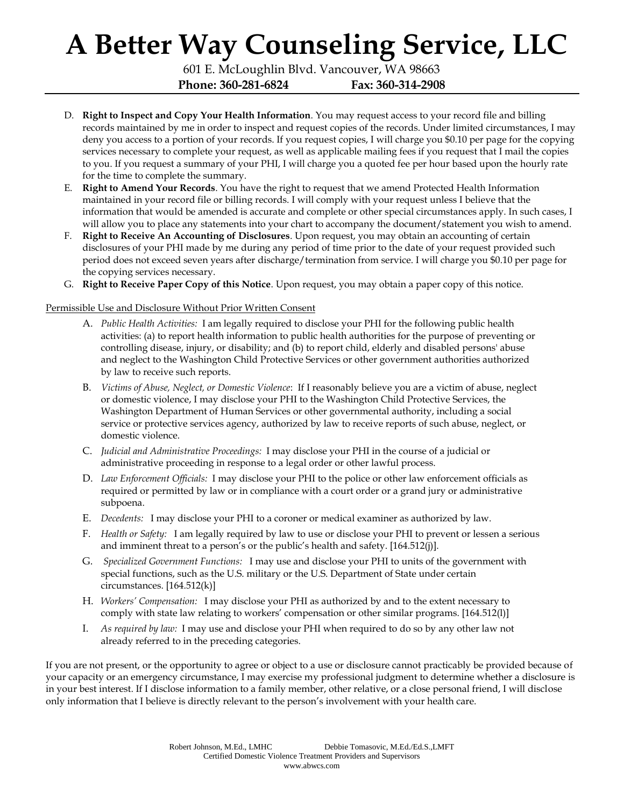601 E. McLoughlin Blvd. Vancouver, WA 98663 **Phone: 360-281-6824 Fax: 360-314-2908**

- D. **Right to Inspect and Copy Your Health Information**. You may request access to your record file and billing records maintained by me in order to inspect and request copies of the records. Under limited circumstances, I may deny you access to a portion of your records. If you request copies, I will charge you \$0.10 per page for the copying services necessary to complete your request, as well as applicable mailing fees if you request that I mail the copies to you. If you request a summary of your PHI, I will charge you a quoted fee per hour based upon the hourly rate for the time to complete the summary.
- E. **Right to Amend Your Records**. You have the right to request that we amend Protected Health Information maintained in your record file or billing records. I will comply with your request unless I believe that the information that would be amended is accurate and complete or other special circumstances apply. In such cases, I will allow you to place any statements into your chart to accompany the document/statement you wish to amend.
- F. **Right to Receive An Accounting of Disclosures**. Upon request, you may obtain an accounting of certain disclosures of your PHI made by me during any period of time prior to the date of your request provided such period does not exceed seven years after discharge/termination from service. I will charge you \$0.10 per page for the copying services necessary.
- G. **Right to Receive Paper Copy of this Notice**. Upon request, you may obtain a paper copy of this notice.

### Permissible Use and Disclosure Without Prior Written Consent

- A. *Public Health Activities:* I am legally required to disclose your PHI for the following public health activities: (a) to report health information to public health authorities for the purpose of preventing or controlling disease, injury, or disability; and (b) to report child, elderly and disabled persons' abuse and neglect to the Washington Child Protective Services or other government authorities authorized by law to receive such reports.
- B. *Victims of Abuse, Neglect, or Domestic Violence*: If I reasonably believe you are a victim of abuse, neglect or domestic violence, I may disclose your PHI to the Washington Child Protective Services, the Washington Department of Human Services or other governmental authority, including a social service or protective services agency, authorized by law to receive reports of such abuse, neglect, or domestic violence.
- C. *Judicial and Administrative Proceedings:* I may disclose your PHI in the course of a judicial or administrative proceeding in response to a legal order or other lawful process.
- D. *Law Enforcement Officials:* I may disclose your PHI to the police or other law enforcement officials as required or permitted by law or in compliance with a court order or a grand jury or administrative subpoena.
- E. *Decedents:* I may disclose your PHI to a coroner or medical examiner as authorized by law.
- F. *Health or Safety:* I am legally required by law to use or disclose your PHI to prevent or lessen a serious and imminent threat to a person's or the public's health and safety. [164.512(j)].
- G. *Specialized Government Functions:* I may use and disclose your PHI to units of the government with special functions, such as the U.S. military or the U.S. Department of State under certain circumstances. [164.512(k)]
- H. *Workers' Compensation:* I may disclose your PHI as authorized by and to the extent necessary to comply with state law relating to workers' compensation or other similar programs. [164.512(l)]
- I. *As required by law:* I may use and disclose your PHI when required to do so by any other law not already referred to in the preceding categories.

If you are not present, or the opportunity to agree or object to a use or disclosure cannot practicably be provided because of your capacity or an emergency circumstance, I may exercise my professional judgment to determine whether a disclosure is in your best interest. If I disclose information to a family member, other relative, or a close personal friend, I will disclose only information that I believe is directly relevant to the person's involvement with your health care.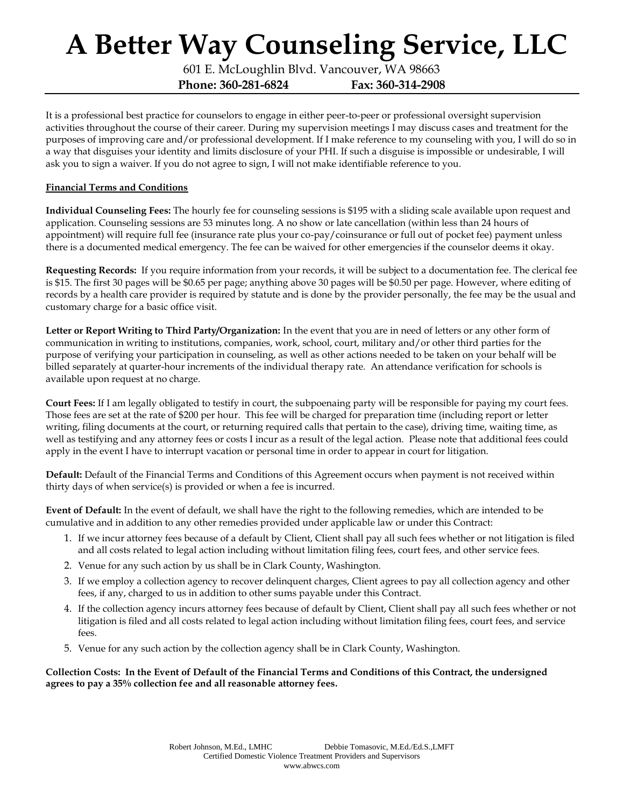601 E. McLoughlin Blvd. Vancouver, WA 98663 **Phone: 360-281-6824 Fax: 360-314-2908**

It is a professional best practice for counselors to engage in either peer-to-peer or professional oversight supervision activities throughout the course of their career. During my supervision meetings I may discuss cases and treatment for the purposes of improving care and/or professional development. If I make reference to my counseling with you, I will do so in a way that disguises your identity and limits disclosure of your PHI. If such a disguise is impossible or undesirable, I will ask you to sign a waiver. If you do not agree to sign, I will not make identifiable reference to you.

### **Financial Terms and Conditions**

**Individual Counseling Fees:** The hourly fee for counseling sessions is \$195 with a sliding scale available upon request and application. Counseling sessions are 53 minutes long. A no show or late cancellation (within less than 24 hours of appointment) will require full fee (insurance rate plus your co-pay/coinsurance or full out of pocket fee) payment unless there is a documented medical emergency. The fee can be waived for other emergencies if the counselor deems it okay.

**Requesting Records:** If you require information from your records, it will be subject to a documentation fee. The clerical fee is \$15. The first 30 pages will be \$0.65 per page; anything above 30 pages will be \$0.50 per page. However, where editing of records by a health care provider is required by statute and is done by the provider personally, the fee may be the usual and customary charge for a basic office visit.

**Letter or Report Writing to Third Party/Organization:** In the event that you are in need of letters or any other form of communication in writing to institutions, companies, work, school, court, military and/or other third parties for the purpose of verifying your participation in counseling, as well as other actions needed to be taken on your behalf will be billed separately at quarter-hour increments of the individual therapy rate. An attendance verification for schools is available upon request at no charge.

**Court Fees:** If I am legally obligated to testify in court, the subpoenaing party will be responsible for paying my court fees. Those fees are set at the rate of \$200 per hour. This fee will be charged for preparation time (including report or letter writing, filing documents at the court, or returning required calls that pertain to the case), driving time, waiting time, as well as testifying and any attorney fees or costs I incur as a result of the legal action. Please note that additional fees could apply in the event I have to interrupt vacation or personal time in order to appear in court for litigation.

**Default:** Default of the Financial Terms and Conditions of this Agreement occurs when payment is not received within thirty days of when service(s) is provided or when a fee is incurred.

**Event of Default:** In the event of default, we shall have the right to the following remedies, which are intended to be cumulative and in addition to any other remedies provided under applicable law or under this Contract:

- 1. If we incur attorney fees because of a default by Client, Client shall pay all such fees whether or not litigation is filed and all costs related to legal action including without limitation filing fees, court fees, and other service fees.
- 2. Venue for any such action by us shall be in Clark County, Washington.
- 3. If we employ a collection agency to recover delinquent charges, Client agrees to pay all collection agency and other fees, if any, charged to us in addition to other sums payable under this Contract.
- 4. If the collection agency incurs attorney fees because of default by Client, Client shall pay all such fees whether or not litigation is filed and all costs related to legal action including without limitation filing fees, court fees, and service fees.
- 5. Venue for any such action by the collection agency shall be in Clark County, Washington.

**Collection Costs: In the Event of Default of the Financial Terms and Conditions of this Contract, the undersigned agrees to pay a 35% collection fee and all reasonable attorney fees.**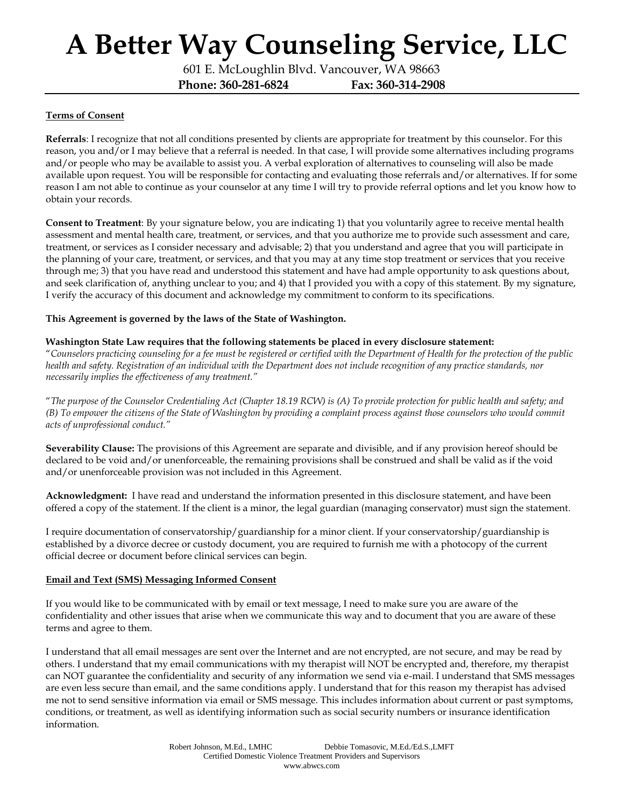601 E. McLoughlin Blvd. Vancouver, WA 98663 **Phone: 360-281-6824 Fax: 360-314-2908**

### **Terms of Consent**

**Referrals**: I recognize that not all conditions presented by clients are appropriate for treatment by this counselor. For this reason, you and/or I may believe that a referral is needed. In that case, I will provide some alternatives including programs and/or people who may be available to assist you. A verbal exploration of alternatives to counseling will also be made available upon request. You will be responsible for contacting and evaluating those referrals and/or alternatives. If for some reason I am not able to continue as your counselor at any time I will try to provide referral options and let you know how to obtain your records.

**Consent to Treatment**: By your signature below, you are indicating 1) that you voluntarily agree to receive mental health assessment and mental health care, treatment, or services, and that you authorize me to provide such assessment and care, treatment, or services as I consider necessary and advisable; 2) that you understand and agree that you will participate in the planning of your care, treatment, or services, and that you may at any time stop treatment or services that you receive through me; 3) that you have read and understood this statement and have had ample opportunity to ask questions about, and seek clarification of, anything unclear to you; and 4) that I provided you with a copy of this statement. By my signature, I verify the accuracy of this document and acknowledge my commitment to conform to its specifications.

### **This Agreement is governed by the laws of the State of Washington.**

#### **Washington State Law requires that the following statements be placed in every disclosure statement:**

"*Counselors practicing counseling for a fee must be registered or certified with the Department of Health for the protection of the public health and safety. Registration of an individual with the Department does not include recognition of any practice standards, nor necessarily implies the effectiveness of any treatment."* 

"*The purpose of the Counselor Credentialing Act (Chapter 18.19 RCW) is (A) To provide protection for public health and safety; and (B) To empower the citizens of the State of Washington by providing a complaint process against those counselors who would commit acts of unprofessional conduct."* 

**Severability Clause:** The provisions of this Agreement are separate and divisible, and if any provision hereof should be declared to be void and/or unenforceable, the remaining provisions shall be construed and shall be valid as if the void and/or unenforceable provision was not included in this Agreement.

**Acknowledgment:** I have read and understand the information presented in this disclosure statement, and have been offered a copy of the statement. If the client is a minor, the legal guardian (managing conservator) must sign the statement.

I require documentation of conservatorship/guardianship for a minor client. If your conservatorship/guardianship is established by a divorce decree or custody document, you are required to furnish me with a photocopy of the current official decree or document before clinical services can begin.

### **Email and Text (SMS) Messaging Informed Consent**

If you would like to be communicated with by email or text message, I need to make sure you are aware of the confidentiality and other issues that arise when we communicate this way and to document that you are aware of these terms and agree to them.

I understand that all email messages are sent over the Internet and are not encrypted, are not secure, and may be read by others. I understand that my email communications with my therapist will NOT be encrypted and, therefore, my therapist can NOT guarantee the confidentiality and security of any information we send via e-mail. I understand that SMS messages are even less secure than email, and the same conditions apply. I understand that for this reason my therapist has advised me not to send sensitive information via email or SMS message. This includes information about current or past symptoms, conditions, or treatment, as well as identifying information such as social security numbers or insurance identification information.

> Robert Johnson, M.Ed., LMHC Debbie Tomasovic, M.Ed./Ed.S.,LMFT Certified Domestic Violence Treatment Providers and Supervisors www.abwcs.com